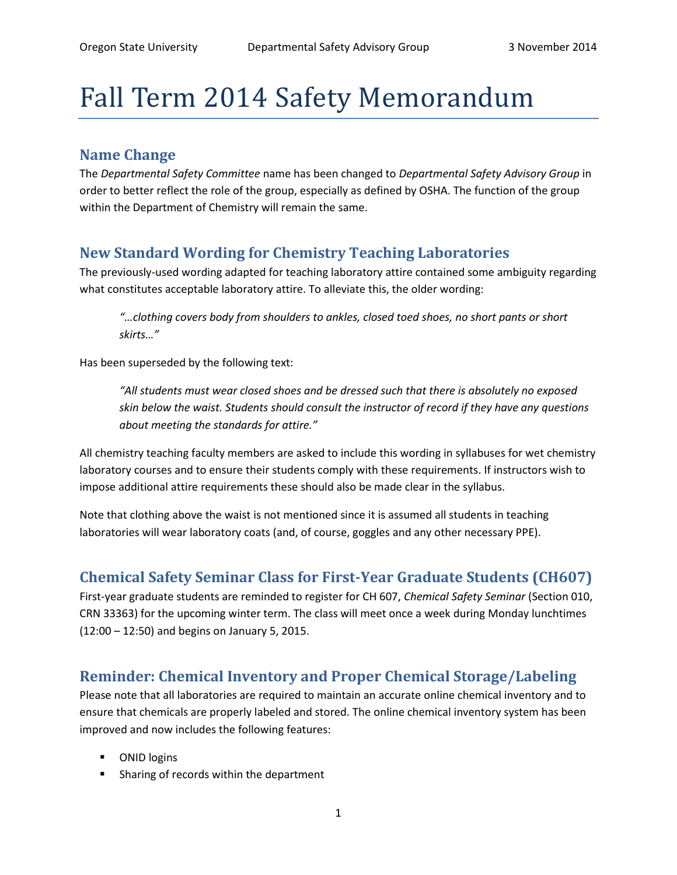# Fall Term 2014 Safety Memorandum

### **Name Change**

The *Departmental Safety Committee* name has been changed to *Departmental Safety Advisory Group* in order to better reflect the role of the group, especially as defined by OSHA. The function of the group within the Department of Chemistry will remain the same.

## **New Standard Wording for Chemistry Teaching Laboratories**

The previously-used wording adapted for teaching laboratory attire contained some ambiguity regarding what constitutes acceptable laboratory attire. To alleviate this, the older wording:

*"…clothing covers body from shoulders to ankles, closed toed shoes, no short pants or short skirts…"*

Has been superseded by the following text:

*"All students must wear closed shoes and be dressed such that there is absolutely no exposed skin below the waist. Students should consult the instructor of record if they have any questions about meeting the standards for attire."*

All chemistry teaching faculty members are asked to include this wording in syllabuses for wet chemistry laboratory courses and to ensure their students comply with these requirements. If instructors wish to impose additional attire requirements these should also be made clear in the syllabus.

Note that clothing above the waist is not mentioned since it is assumed all students in teaching laboratories will wear laboratory coats (and, of course, goggles and any other necessary PPE).

## **Chemical Safety Seminar Class for First-Year Graduate Students (CH607)**

First-year graduate students are reminded to register for CH 607, *Chemical Safety Seminar* (Section 010, CRN 33363) for the upcoming winter term. The class will meet once a week during Monday lunchtimes (12:00 – 12:50) and begins on January 5, 2015.

## **Reminder: Chemical Inventory and Proper Chemical Storage/Labeling**

Please note that all laboratories are required to maintain an accurate online chemical inventory and to ensure that chemicals are properly labeled and stored. The online chemical inventory system has been improved and now includes the following features:

- **ONID logins**
- **Sharing of records within the department**